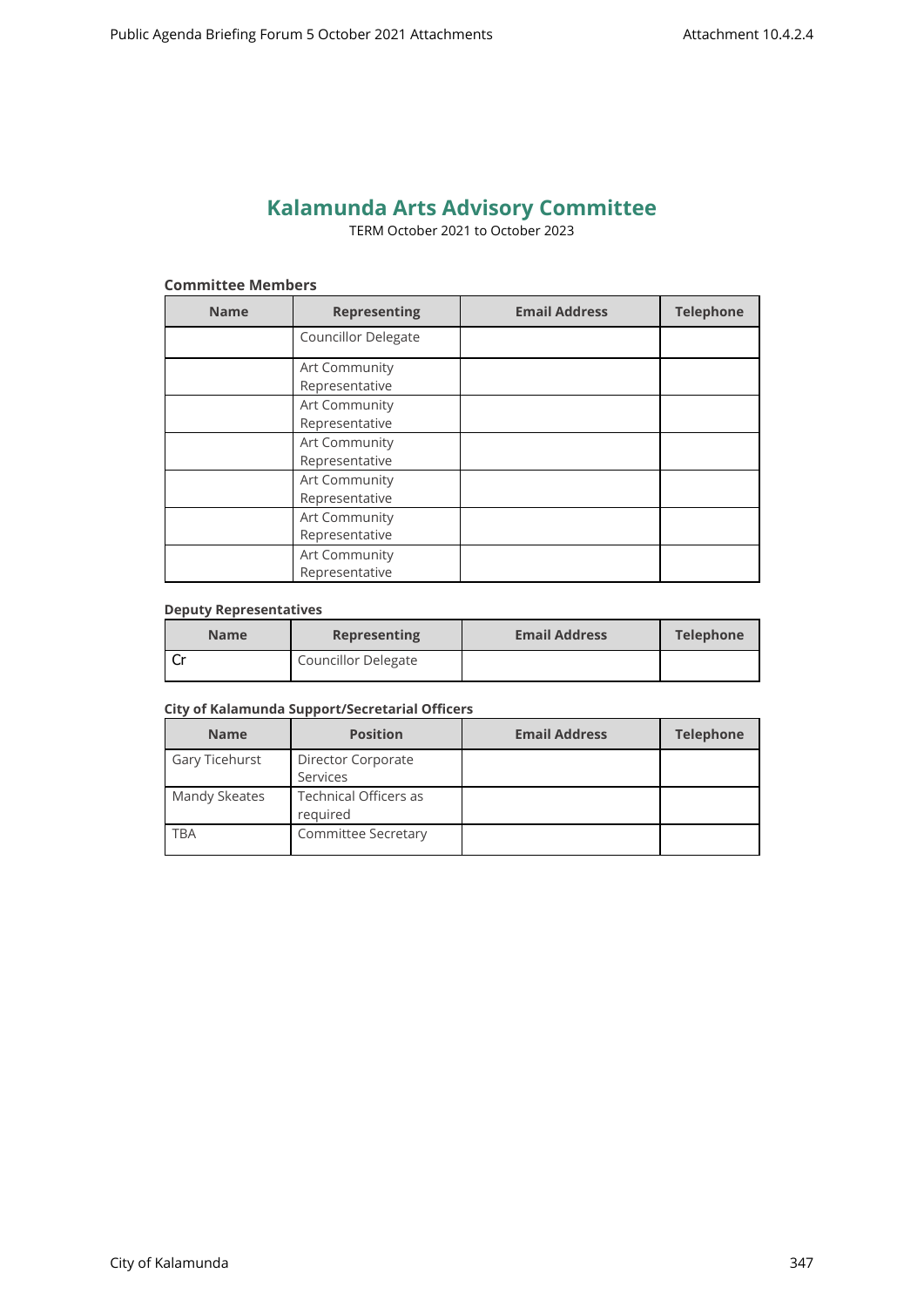# **Kalamunda Arts Advisory Committee**

TERM October 2021 to October 2023

## **Committee Members**

| <b>Name</b> | <b>Representing</b>             | <b>Email Address</b> | <b>Telephone</b> |
|-------------|---------------------------------|----------------------|------------------|
|             | Councillor Delegate             |                      |                  |
|             | Art Community<br>Representative |                      |                  |
|             | Art Community<br>Representative |                      |                  |
|             | Art Community<br>Representative |                      |                  |
|             | Art Community<br>Representative |                      |                  |
|             | Art Community<br>Representative |                      |                  |
|             | Art Community<br>Representative |                      |                  |

#### **Deputy Representatives**

| <b>Name</b> | <b>Representing</b>        | <b>Email Address</b> | <b>Telephone</b> |
|-------------|----------------------------|----------------------|------------------|
|             | <b>Councillor Delegate</b> |                      |                  |

#### **City of Kalamunda Support/Secretarial Officers**

| <b>Name</b>    | <b>Position</b>                   | <b>Email Address</b> | <b>Telephone</b> |
|----------------|-----------------------------------|----------------------|------------------|
| Gary Ticehurst | Director Corporate                |                      |                  |
|                | Services                          |                      |                  |
| Mandy Skeates  | Technical Officers as<br>reguired |                      |                  |
| TBA            | Committee Secretary               |                      |                  |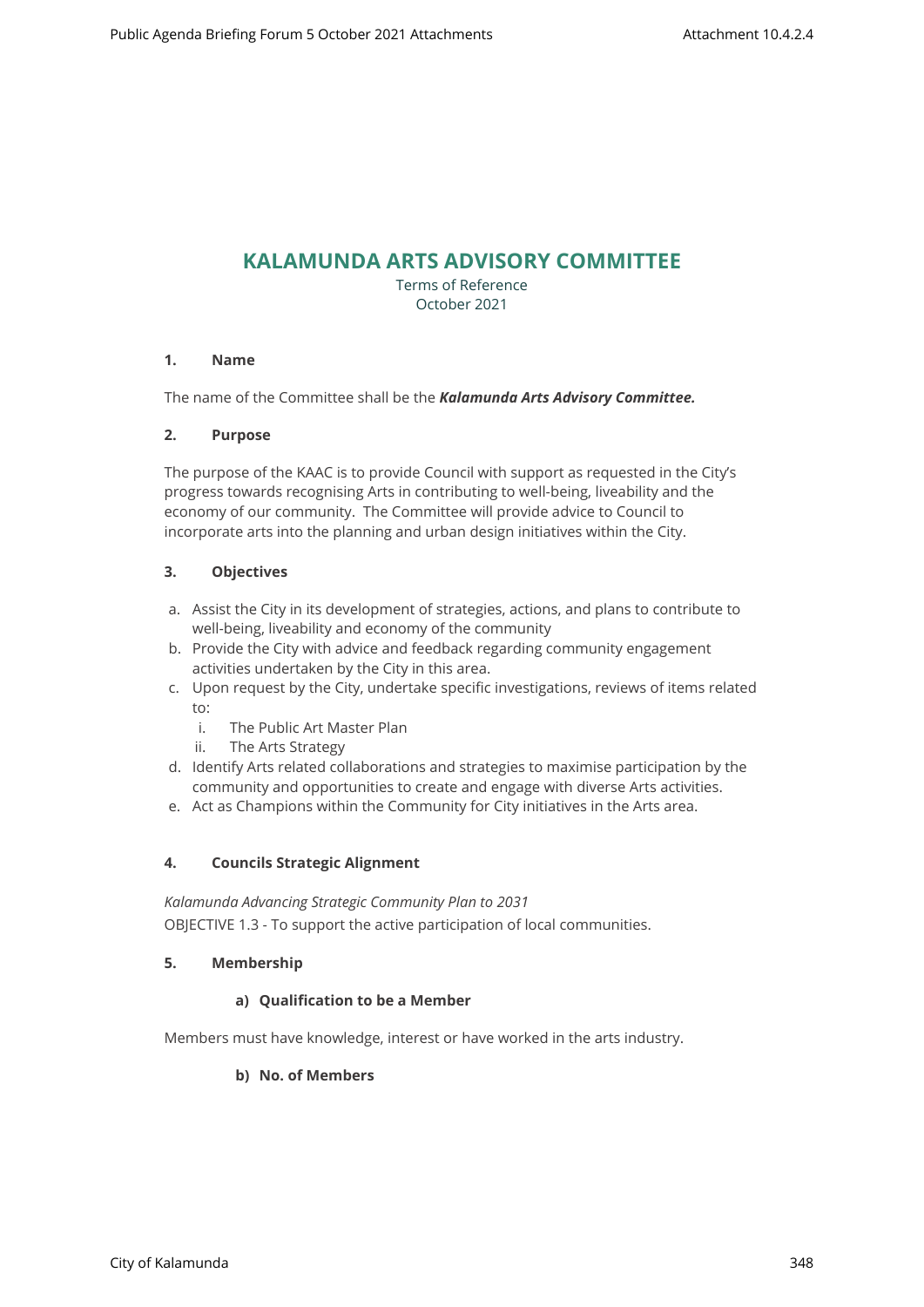# **KALAMUNDA ARTS ADVISORY COMMITTEE**

Terms of Reference October 2021

## **1. Name**

The name of the Committee shall be the *Kalamunda Arts Advisory Committee.*

## **2. Purpose**

The purpose of the KAAC is to provide Council with support as requested in the City's progress towards recognising Arts in contributing to well-being, liveability and the economy of our community. The Committee will provide advice to Council to incorporate arts into the planning and urban design initiatives within the City.

## **3. Objectives**

- a. Assist the City in its development of strategies, actions, and plans to contribute to well-being, liveability and economy of the community
- b. Provide the City with advice and feedback regarding community engagement activities undertaken by the City in this area.
- c. Upon request by the City, undertake specific investigations, reviews of items related to:
	- i. The Public Art Master Plan
	- ii. The Arts Strategy
- d. Identify Arts related collaborations and strategies to maximise participation by the community and opportunities to create and engage with diverse Arts activities.
- e. Act as Champions within the Community for City initiatives in the Arts area.

#### **4. Councils Strategic Alignment**

*Kalamunda Advancing Strategic Community Plan to 2031*  OBJECTIVE 1.3 - To support the active participation of local communities.

#### **5. Membership**

#### **a) Qualification to be a Member**

Members must have knowledge, interest or have worked in the arts industry.

#### **b) No. of Members**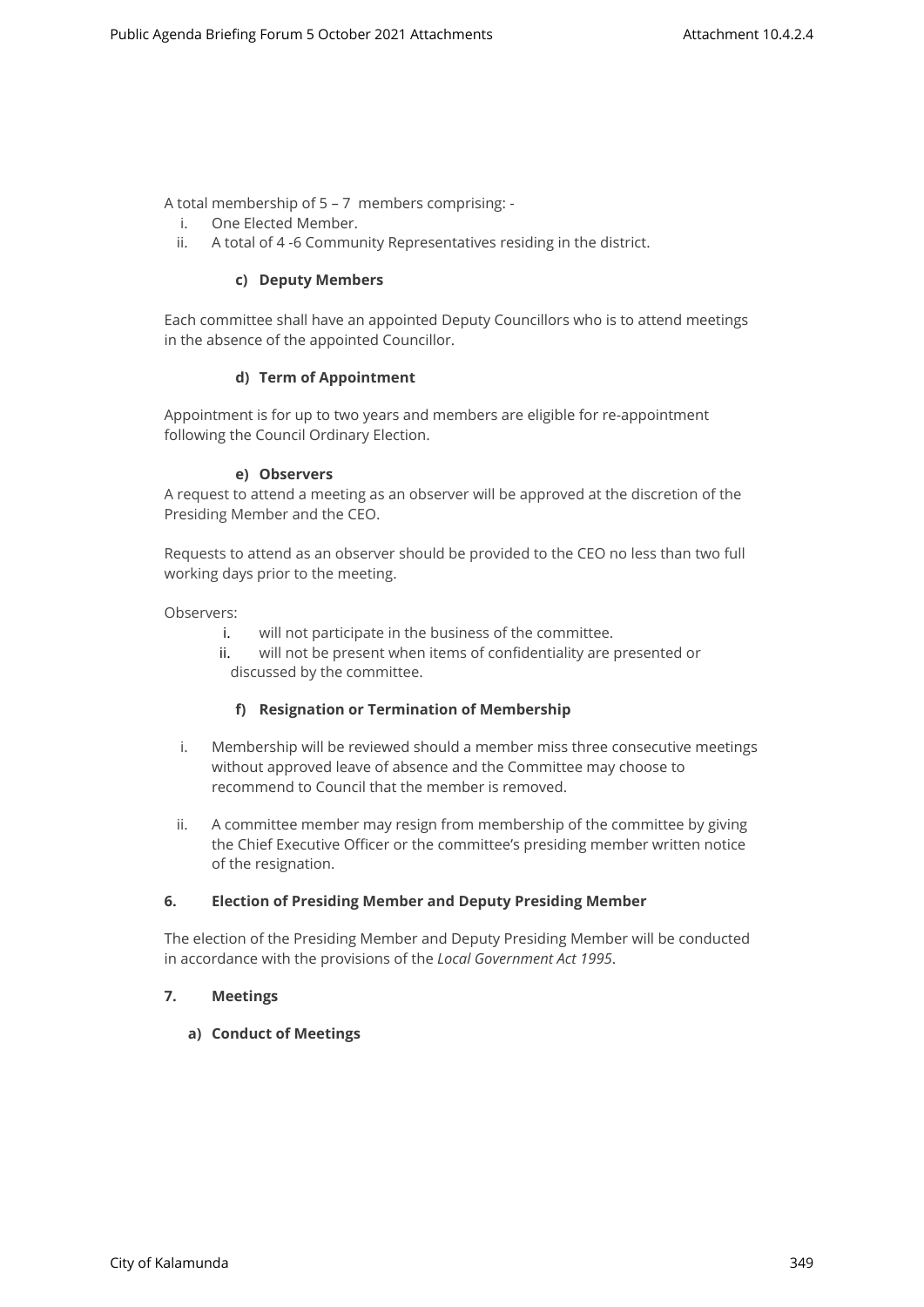A total membership of 5 – 7 members comprising: -

- i. One Elected Member.
- ii. A total of 4 -6 Community Representatives residing in the district.

#### **c) Deputy Members**

Each committee shall have an appointed Deputy Councillors who is to attend meetings in the absence of the appointed Councillor.

#### **d) Term of Appointment**

Appointment is for up to two years and members are eligible for re-appointment following the Council Ordinary Election.

#### **e) Observers**

A request to attend a meeting as an observer will be approved at the discretion of the Presiding Member and the CEO.

Requests to attend as an observer should be provided to the CEO no less than two full working days prior to the meeting.

Observers:

- i. will not participate in the business of the committee.
- ii. will not be present when items of confidentiality are presented or discussed by the committee.

#### **f) Resignation or Termination of Membership**

- i. Membership will be reviewed should a member miss three consecutive meetings without approved leave of absence and the Committee may choose to recommend to Council that the member is removed.
- ii. A committee member may resign from membership of the committee by giving the Chief Executive Officer or the committee's presiding member written notice of the resignation.

#### **6. Election of Presiding Member and Deputy Presiding Member**

The election of the Presiding Member and Deputy Presiding Member will be conducted in accordance with the provisions of the *Local Government Act 1995*.

#### **7. Meetings**

#### **a) Conduct of Meetings**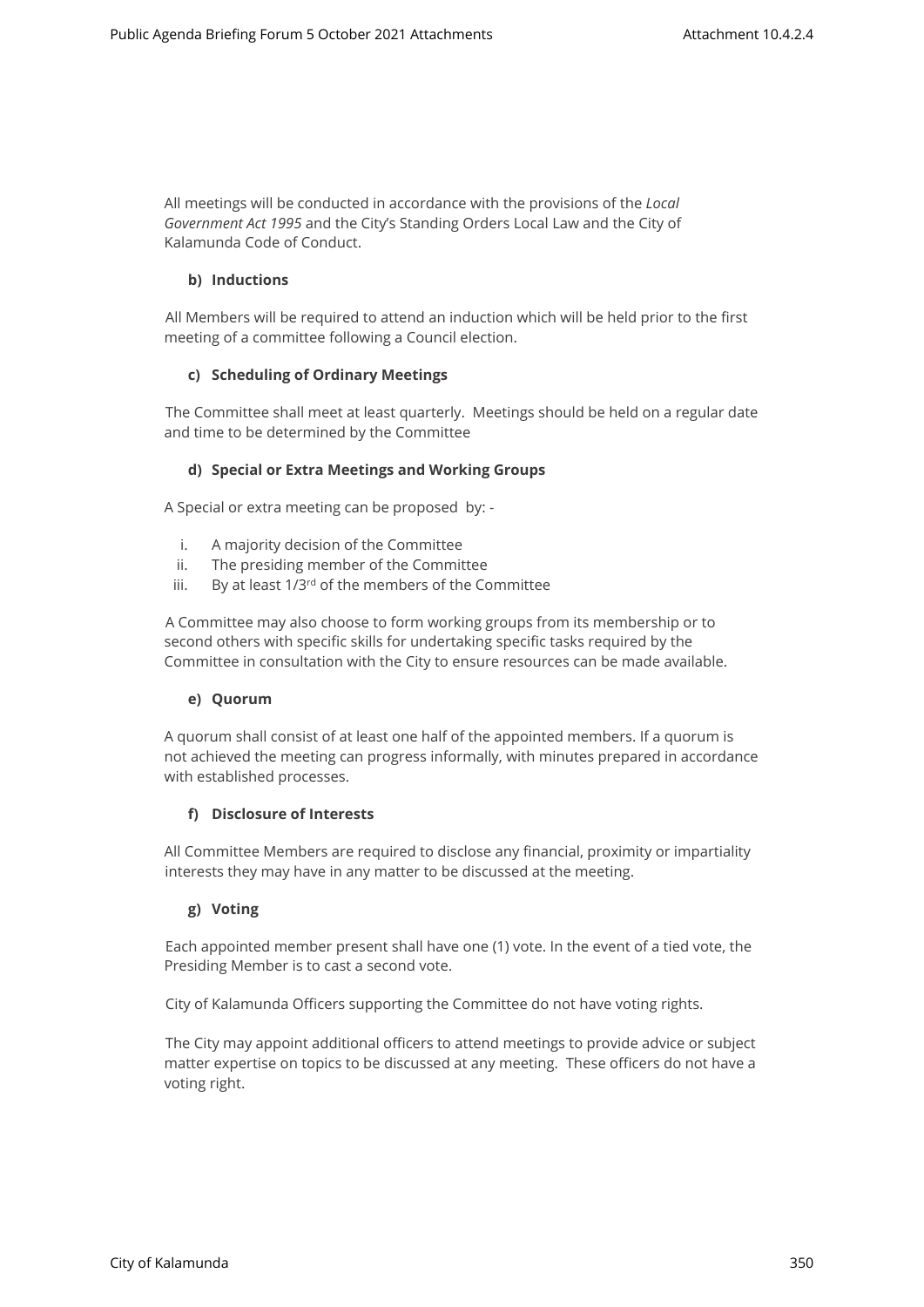All meetings will be conducted in accordance with the provisions of the *Local Government Act 1995* and the City's Standing Orders Local Law and the City of Kalamunda Code of Conduct.

## **b) Inductions**

All Members will be required to attend an induction which will be held prior to the first meeting of a committee following a Council election.

## **c) Scheduling of Ordinary Meetings**

The Committee shall meet at least quarterly. Meetings should be held on a regular date and time to be determined by the Committee

## **d) Special or Extra Meetings and Working Groups**

A Special or extra meeting can be proposed by: -

- i. A majority decision of the Committee
- ii. The presiding member of the Committee
- iii. By at least  $1/3^{rd}$  of the members of the Committee

A Committee may also choose to form working groups from its membership or to second others with specific skills for undertaking specific tasks required by the Committee in consultation with the City to ensure resources can be made available.

#### **e) Quorum**

A quorum shall consist of at least one half of the appointed members. If a quorum is not achieved the meeting can progress informally, with minutes prepared in accordance with established processes.

#### **f) Disclosure of Interests**

All Committee Members are required to disclose any financial, proximity or impartiality interests they may have in any matter to be discussed at the meeting.

## **g) Voting**

Each appointed member present shall have one (1) vote. In the event of a tied vote, the Presiding Member is to cast a second vote.

City of Kalamunda Officers supporting the Committee do not have voting rights.

The City may appoint additional officers to attend meetings to provide advice or subject matter expertise on topics to be discussed at any meeting. These officers do not have a voting right.